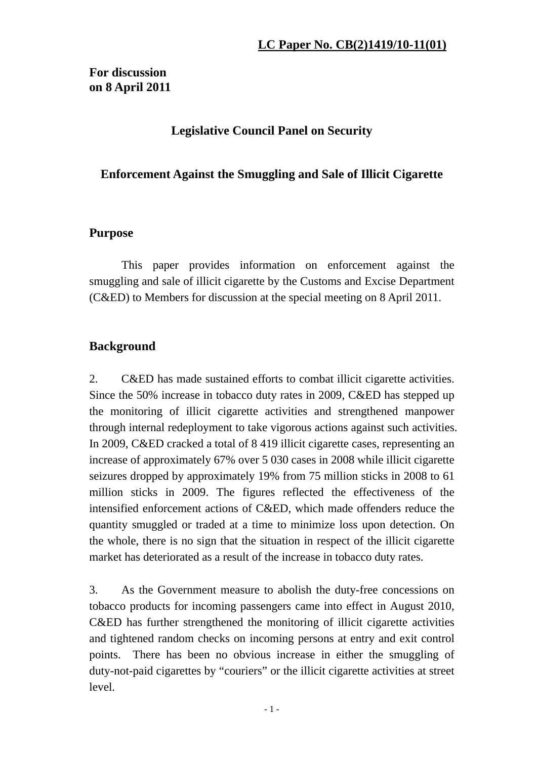**For discussion on 8 April 2011** 

## **Legislative Council Panel on Security**

## **Enforcement Against the Smuggling and Sale of Illicit Cigarette**

### **Purpose**

This paper provides information on enforcement against the smuggling and sale of illicit cigarette by the Customs and Excise Department (C&ED) to Members for discussion at the special meeting on 8 April 2011.

## **Background**

2. C&ED has made sustained efforts to combat illicit cigarette activities. Since the 50% increase in tobacco duty rates in 2009, C&ED has stepped up the monitoring of illicit cigarette activities and strengthened manpower through internal redeployment to take vigorous actions against such activities. In 2009, C&ED cracked a total of 8 419 illicit cigarette cases, representing an increase of approximately 67% over 5 030 cases in 2008 while illicit cigarette seizures dropped by approximately 19% from 75 million sticks in 2008 to 61 million sticks in 2009. The figures reflected the effectiveness of the intensified enforcement actions of C&ED, which made offenders reduce the quantity smuggled or traded at a time to minimize loss upon detection. On the whole, there is no sign that the situation in respect of the illicit cigarette market has deteriorated as a result of the increase in tobacco duty rates.

3. As the Government measure to abolish the duty-free concessions on tobacco products for incoming passengers came into effect in August 2010, C&ED has further strengthened the monitoring of illicit cigarette activities and tightened random checks on incoming persons at entry and exit control points. There has been no obvious increase in either the smuggling of duty-not-paid cigarettes by "couriers" or the illicit cigarette activities at street level.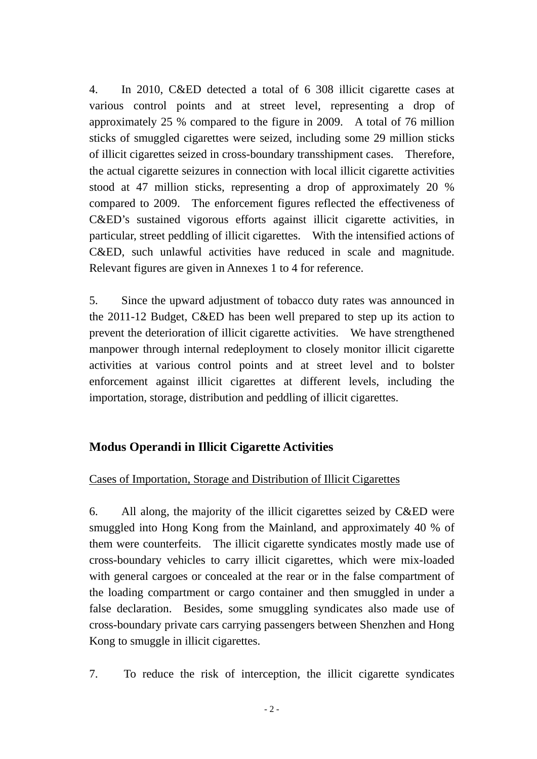4. In 2010, C&ED detected a total of 6 308 illicit cigarette cases at various control points and at street level, representing a drop of approximately 25 % compared to the figure in 2009. A total of 76 million sticks of smuggled cigarettes were seized, including some 29 million sticks of illicit cigarettes seized in cross-boundary transshipment cases. Therefore, the actual cigarette seizures in connection with local illicit cigarette activities stood at 47 million sticks, representing a drop of approximately 20 % compared to 2009. The enforcement figures reflected the effectiveness of C&ED's sustained vigorous efforts against illicit cigarette activities, in particular, street peddling of illicit cigarettes. With the intensified actions of C&ED, such unlawful activities have reduced in scale and magnitude. Relevant figures are given in Annexes 1 to 4 for reference.

5. Since the upward adjustment of tobacco duty rates was announced in the 2011-12 Budget, C&ED has been well prepared to step up its action to prevent the deterioration of illicit cigarette activities. We have strengthened manpower through internal redeployment to closely monitor illicit cigarette activities at various control points and at street level and to bolster enforcement against illicit cigarettes at different levels, including the importation, storage, distribution and peddling of illicit cigarettes.

## **Modus Operandi in Illicit Cigarette Activities**

#### Cases of Importation, Storage and Distribution of Illicit Cigarettes

6. All along, the majority of the illicit cigarettes seized by C&ED were smuggled into Hong Kong from the Mainland, and approximately 40 % of them were counterfeits. The illicit cigarette syndicates mostly made use of cross-boundary vehicles to carry illicit cigarettes, which were mix-loaded with general cargoes or concealed at the rear or in the false compartment of the loading compartment or cargo container and then smuggled in under a false declaration. Besides, some smuggling syndicates also made use of cross-boundary private cars carrying passengers between Shenzhen and Hong Kong to smuggle in illicit cigarettes.

7. To reduce the risk of interception, the illicit cigarette syndicates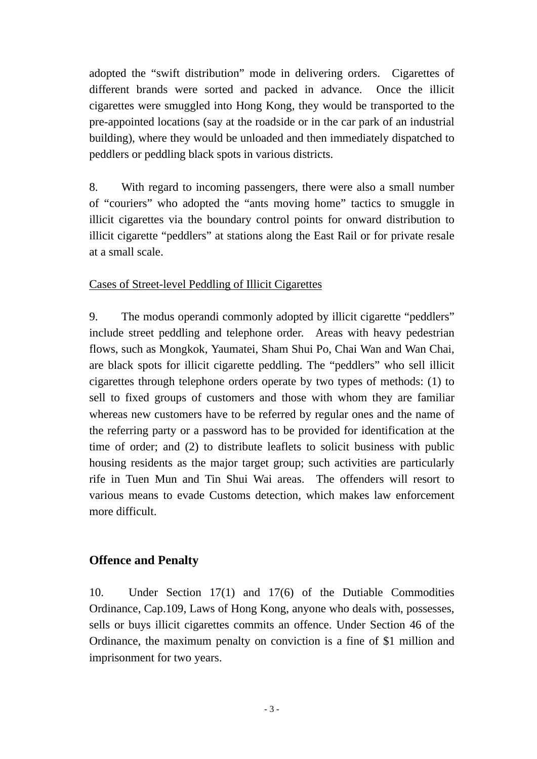adopted the "swift distribution" mode in delivering orders. Cigarettes of different brands were sorted and packed in advance. Once the illicit cigarettes were smuggled into Hong Kong, they would be transported to the pre-appointed locations (say at the roadside or in the car park of an industrial building), where they would be unloaded and then immediately dispatched to peddlers or peddling black spots in various districts.

8. With regard to incoming passengers, there were also a small number of "couriers" who adopted the "ants moving home" tactics to smuggle in illicit cigarettes via the boundary control points for onward distribution to illicit cigarette "peddlers" at stations along the East Rail or for private resale at a small scale.

#### Cases of Street-level Peddling of Illicit Cigarettes

9. The modus operandi commonly adopted by illicit cigarette "peddlers" include street peddling and telephone order. Areas with heavy pedestrian flows, such as Mongkok, Yaumatei, Sham Shui Po, Chai Wan and Wan Chai, are black spots for illicit cigarette peddling. The "peddlers" who sell illicit cigarettes through telephone orders operate by two types of methods: (1) to sell to fixed groups of customers and those with whom they are familiar whereas new customers have to be referred by regular ones and the name of the referring party or a password has to be provided for identification at the time of order; and (2) to distribute leaflets to solicit business with public housing residents as the major target group; such activities are particularly rife in Tuen Mun and Tin Shui Wai areas. The offenders will resort to various means to evade Customs detection, which makes law enforcement more difficult.

#### **Offence and Penalty**

10. Under Section 17(1) and 17(6) of the Dutiable Commodities Ordinance, Cap.109, Laws of Hong Kong, anyone who deals with, possesses, sells or buys illicit cigarettes commits an offence. Under Section 46 of the Ordinance, the maximum penalty on conviction is a fine of \$1 million and imprisonment for two years.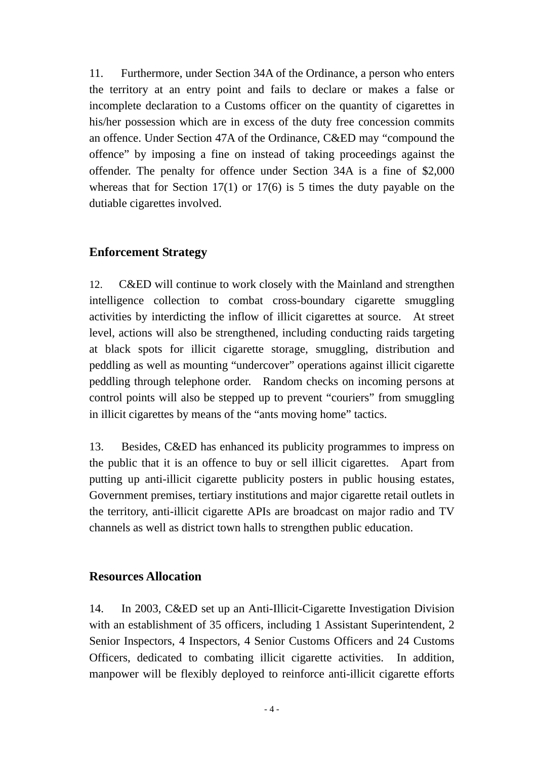11. Furthermore, under Section 34A of the Ordinance, a person who enters the territory at an entry point and fails to declare or makes a false or incomplete declaration to a Customs officer on the quantity of cigarettes in his/her possession which are in excess of the duty free concession commits an offence. Under Section 47A of the Ordinance, C&ED may "compound the offence" by imposing a fine on instead of taking proceedings against the offender. The penalty for offence under Section 34A is a fine of \$2,000 whereas that for Section  $17(1)$  or  $17(6)$  is 5 times the duty payable on the dutiable cigarettes involved.

#### **Enforcement Strategy**

12. C&ED will continue to work closely with the Mainland and strengthen intelligence collection to combat cross-boundary cigarette smuggling activities by interdicting the inflow of illicit cigarettes at source. At street level, actions will also be strengthened, including conducting raids targeting at black spots for illicit cigarette storage, smuggling, distribution and peddling as well as mounting "undercover" operations against illicit cigarette peddling through telephone order. Random checks on incoming persons at control points will also be stepped up to prevent "couriers" from smuggling in illicit cigarettes by means of the "ants moving home" tactics.

13. Besides, C&ED has enhanced its publicity programmes to impress on the public that it is an offence to buy or sell illicit cigarettes. Apart from putting up anti-illicit cigarette publicity posters in public housing estates, Government premises, tertiary institutions and major cigarette retail outlets in the territory, anti-illicit cigarette APIs are broadcast on major radio and TV channels as well as district town halls to strengthen public education.

#### **Resources Allocation**

14. In 2003, C&ED set up an Anti-Illicit-Cigarette Investigation Division with an establishment of 35 officers, including 1 Assistant Superintendent, 2 Senior Inspectors, 4 Inspectors, 4 Senior Customs Officers and 24 Customs Officers, dedicated to combating illicit cigarette activities. In addition, manpower will be flexibly deployed to reinforce anti-illicit cigarette efforts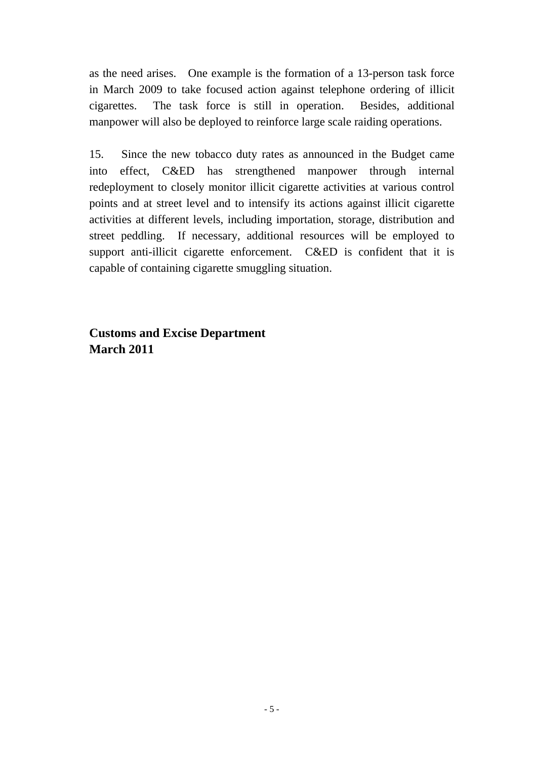as the need arises. One example is the formation of a 13-person task force in March 2009 to take focused action against telephone ordering of illicit cigarettes. The task force is still in operation. Besides, additional manpower will also be deployed to reinforce large scale raiding operations.

15. Since the new tobacco duty rates as announced in the Budget came into effect, C&ED has strengthened manpower through internal redeployment to closely monitor illicit cigarette activities at various control points and at street level and to intensify its actions against illicit cigarette activities at different levels, including importation, storage, distribution and street peddling. If necessary, additional resources will be employed to support anti-illicit cigarette enforcement. C&ED is confident that it is capable of containing cigarette smuggling situation.

**Customs and Excise Department March 2011**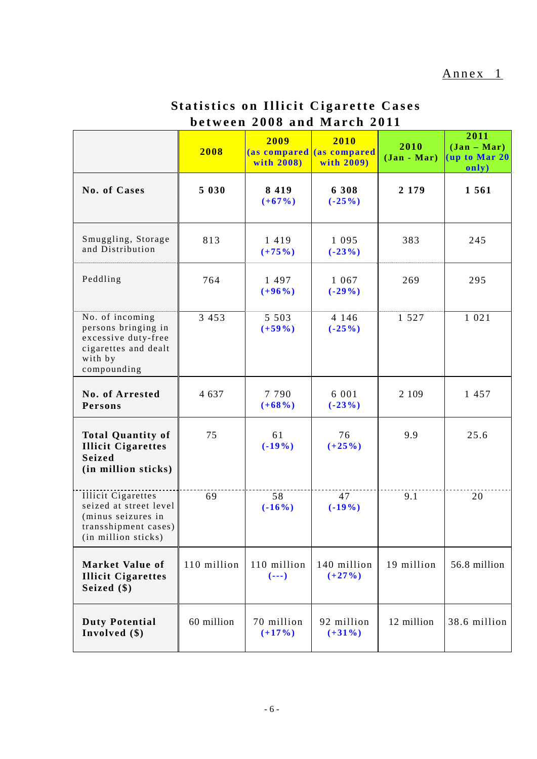| <b>Statistics on Illicit Cigarette Cases</b> |
|----------------------------------------------|
| between 2008 and March 2011                  |

|                                                                                                                          | 2008        | 2009<br>with 2008)      | 2010<br>(as compared (as compared<br>with 2009) | 2010<br>$(Jan - Mar)$ | 2011<br>$(\text{Jan} - \text{Mar})$<br>(up to Mar 20)<br>only) |
|--------------------------------------------------------------------------------------------------------------------------|-------------|-------------------------|-------------------------------------------------|-----------------------|----------------------------------------------------------------|
| No. of Cases                                                                                                             | 5 0 3 0     | 8 4 1 9<br>$(+67%)$     | 6 308<br>$(-25%)$                               | 2 1 7 9               | 1 5 6 1                                                        |
| Smuggling, Storage<br>and Distribution                                                                                   | 813         | 1419<br>$(+75%)$        | 1 0 9 5<br>$(-23%)$                             | 383                   | 245                                                            |
| Peddling                                                                                                                 | 764         | 1 4 9 7<br>$(+96%)$     | 1 0 6 7<br>$(-29\%)$                            | 269                   | 295                                                            |
| No. of incoming<br>persons bringing in<br>excessive duty-free<br>cigarettes and dealt<br>with by<br>compounding          | 3 4 5 3     | 5 5 0 3<br>$(+59\%)$    | 4 1 4 6<br>$(-25%)$                             | 1 5 2 7               | 1 0 2 1                                                        |
| No. of Arrested<br>Persons                                                                                               | 4 6 3 7     | 7 7 9 0<br>$(+68%)$     | 6 0 0 1<br>$(-23%)$                             | 2 1 0 9               | 1 457                                                          |
| <b>Total Quantity of</b><br><b>Illicit Cigarettes</b><br><b>Seized</b><br>(in million sticks)                            | 75          | 61<br>$(-19\%)$         | 76<br>$(+25%)$                                  | 9.9                   | 25.6                                                           |
| <b>Illicit Cigarettes</b><br>seized at street level<br>(minus seizures in<br>transshipment cases)<br>(in million sticks) | 69          | 58<br>$(-16%)$          | 47<br>$(-19%)$                                  | 9.1                   | 20                                                             |
| <b>Market Value of</b><br><b>Illicit Cigarettes</b><br>Seized (\$)                                                       | 110 million | 110 million<br>$(- - )$ | 140 million<br>$(+27%)$                         | 19 million            | 56.8 million                                                   |
| <b>Duty Potential</b><br>Involved $(\$)$                                                                                 | 60 million  | 70 million<br>$(+17%)$  | 92 million<br>$(+31\%)$                         | 12 million            | 38.6 million                                                   |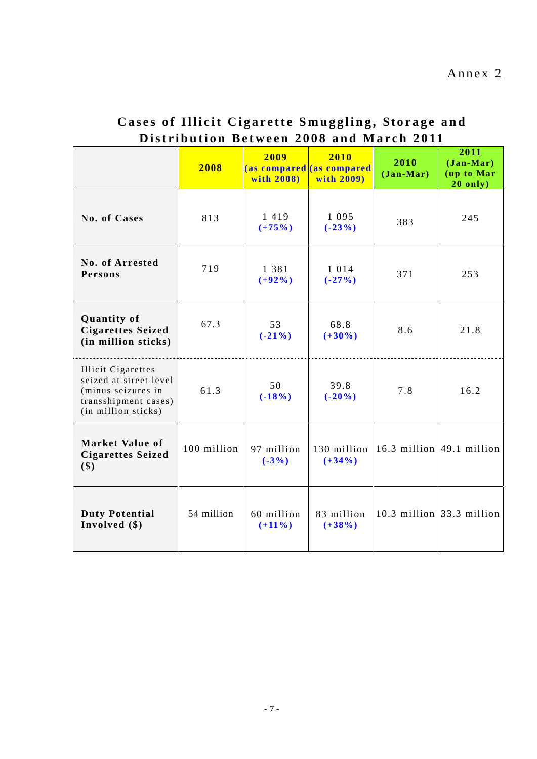|                                                                                                                          | 2008        | 2009<br>with 2008)      | 2010<br>(as compared (as compared<br>with 2009) | 2010<br>$(Jan-Mar)$                         | 2011<br>$(Jan-Mar)$<br>(up to Mar<br>$20$ only) |
|--------------------------------------------------------------------------------------------------------------------------|-------------|-------------------------|-------------------------------------------------|---------------------------------------------|-------------------------------------------------|
| No. of Cases                                                                                                             | 813         | 1 4 1 9<br>$(+75%)$     | 1 0 9 5<br>$(-23%)$                             | 383                                         | 245                                             |
| No. of Arrested<br>Persons                                                                                               | 719         | 1 3 8 1<br>$(+92\%)$    | 1 0 1 4<br>$(-27%)$                             | 371                                         | 253                                             |
| <b>Quantity of</b><br><b>Cigarettes Seized</b><br>(in million sticks)                                                    | 67.3        | 53<br>$(-21\%)$         | 68.8<br>$(+30\%)$                               | 8.6                                         | 21.8                                            |
| <b>Illicit Cigarettes</b><br>seized at street level<br>(minus seizures in<br>transshipment cases)<br>(in million sticks) | 61.3        | 50<br>$(-18%)$          | 39.8<br>$(-20\%)$                               | 7.8                                         | 16.2                                            |
| <b>Market Value of</b><br><b>Cigarettes Seized</b><br>\$)                                                                | 100 million | 97 million<br>$(-3%)$   | $(+34\%)$                                       | 130 million $ 16.3$ million $ 49.1$ million |                                                 |
| <b>Duty Potential</b><br>Involved $(\$)$                                                                                 | 54 million  | 60 million<br>$(+11\%)$ | 83 million<br>$(+38\%)$                         |                                             | 10.3 million $33.3$ million                     |

# **Cases of Illicit Cigarette Smuggling, Storage and Distribution Between 2008 and March 2011**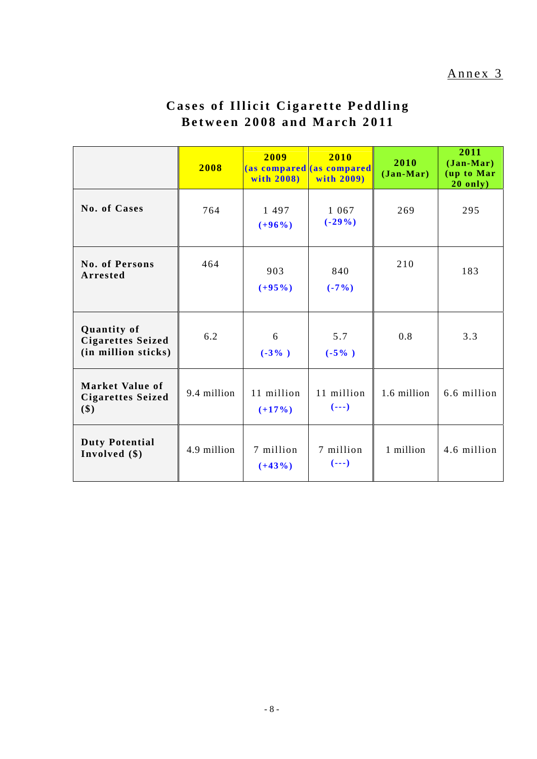### Annex 3

# **Cases of Illicit Cigarette Peddling Between 2008 and March 2011**

|                                                                | 2008        | 2009<br>with 2008)     | 2010<br>(as compared as compared<br>with 2009) | 2010<br>$(Jan-Mar)$ | 2011<br>$(Jan-Mar)$<br>(up to Mar<br>$20$ only) |
|----------------------------------------------------------------|-------------|------------------------|------------------------------------------------|---------------------|-------------------------------------------------|
| No. of Cases                                                   | 764         | 1497<br>$(+96%)$       | 1 0 6 7<br>$(-29\%)$                           | 269                 | 295                                             |
| <b>No. of Persons</b><br>Arrested                              | 464         | 903<br>$(+95%)$        | 840<br>$(-7%)$                                 | 210                 | 183                                             |
| Quantity of<br><b>Cigarettes Seized</b><br>(in million sticks) | 6.2         | 6<br>$(-3\%$ )         | 5.7<br>$(-5\%$ )                               | 0.8                 | 3.3                                             |
| <b>Market Value of</b><br><b>Cigarettes Seized</b><br>\$)      | 9.4 million | 11 million<br>$(+17%)$ | 11 million<br>$(- - )$                         | 1.6 million         | 6.6 million                                     |
| <b>Duty Potential</b><br>Involved (\$)                         | 4.9 million | 7 million<br>$(+43%)$  | 7 million<br>$(- - )$                          | 1 million           | 4.6 million                                     |